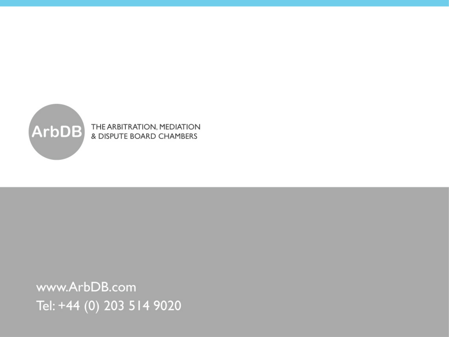

www.ArbDB.com Tel: +44 (0) 203 514 9020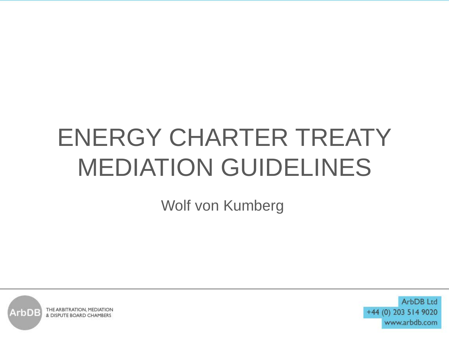## ENERGY CHARTER TREATY MEDIATION GUIDELINES

Wolf von Kumberg

THE ARBITRATION, MEDIATION  $\mathsf{ArbDE}$ & DISPUTE BOARD CHAMBERS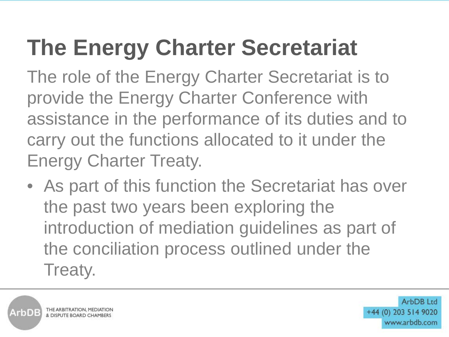## **The Energy Charter Secretariat**

The role of the Energy Charter Secretariat is to provide the Energy Charter Conference with assistance in the performance of its duties and to carry out the functions allocated to it under the Energy Charter Treaty.

• As part of this function the Secretariat has over the past two years been exploring the introduction of mediation guidelines as part of the conciliation process outlined under the Treaty.



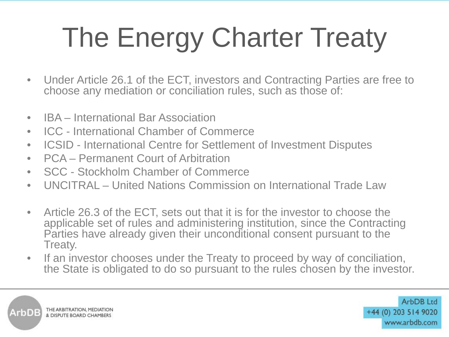# The Energy Charter Treaty

- Under Article 26.1 of the ECT, investors and Contracting Parties are free to choose any mediation or conciliation rules, such as those of:
- IBA International Bar Association
- ICC International Chamber of Commerce
- ICSID International Centre for Settlement of Investment Disputes
- PCA Permanent Court of Arbitration
- SCC Stockholm Chamber of Commerce
- UNCITRAL United Nations Commission on International Trade Law
- Article 26.3 of the ECT, sets out that it is for the investor to choose the applicable set of rules and administering institution, since the Contracting Parties have already given their unconditional consent pursuant to the Treaty.
- If an investor chooses under the Treaty to proceed by way of conciliation, the State is obligated to do so pursuant to the rules chosen by the investor.

THE ARBITRATION, MEDIATION  $\textbf{ArbDE}$ & DISPUTE BOARD CHAMBER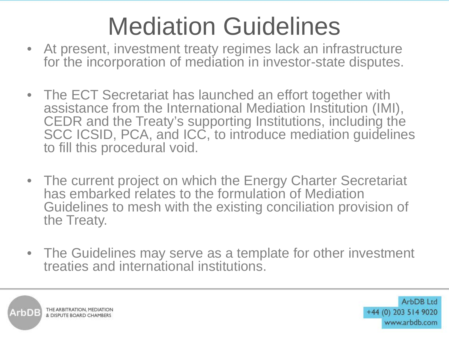## Mediation Guidelines

- At present, investment treaty regimes lack an infrastructure for the incorporation of mediation in investor-state disputes.
- The ECT Secretariat has launched an effort together with assistance from the International Mediation Institution (IMI), CEDR and the Treaty's supporting Institutions, including the SCC ICSID, PCA, and ICC, to introduce mediation quidelines to fill this procedural void.
- The current project on which the Energy Charter Secretariat has embarked relates to the formulation of Mediation Guidelines to mesh with the existing conciliation provision of the Treaty.
- The Guidelines may serve as a template for other investment treaties and international institutions.

THE ARBITRATION, MEDIATION & DISPUTE BOARD CHAMBER!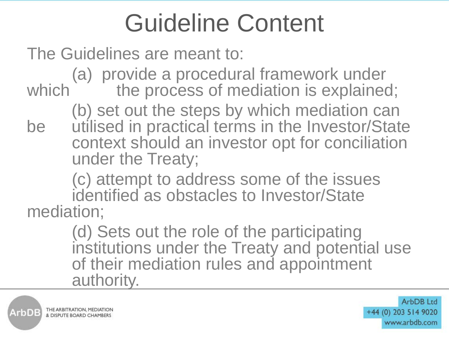#### Guideline Content

The Guidelines are meant to:

(a) provide a procedural framework under which the process of mediation is explained;

(b) set out the steps by which mediation can be utilised in practical terms in the Investor/State context should an investor opt for conciliation under the Treaty;

(c) attempt to address some of the issues identified as obstacles to Investor/State mediation;

> (d) Sets out the role of the participating institutions under the Treaty and potential use of their mediation rules and appointment authority.

THE ARBITRATION, MEDIATION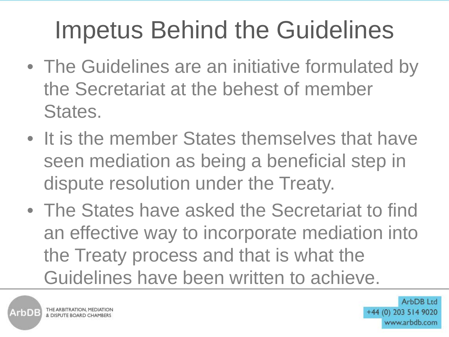## Impetus Behind the Guidelines

- The Guidelines are an initiative formulated by the Secretariat at the behest of member States.
- It is the member States themselves that have seen mediation as being a beneficial step in dispute resolution under the Treaty.
- The States have asked the Secretariat to find an effective way to incorporate mediation into the Treaty process and that is what the Guidelines have been written to achieve.

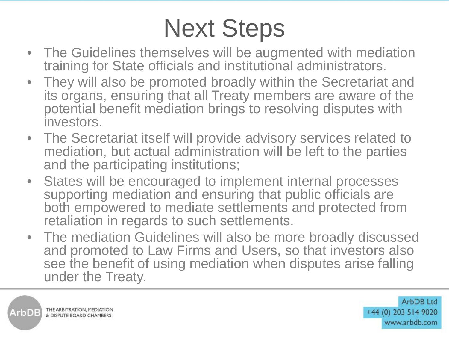## Next Steps

- The Guidelines themselves will be augmented with mediation training for State officials and institutional administrators.
- They will also be promoted broadly within the Secretariat and its organs, ensuring that all Treaty members are aware of the potential benefit mediation brings to resolving disputes with investors.
- The Secretariat itself will provide advisory services related to mediation, but actual administration will be left to the parties and the participating institutions;
- States will be encouraged to implement internal processes supporting mediation and ensuring that public officials are both empowered to mediate settlements and protected from retaliation in regards to such settlements.
- The mediation Guidelines will also be more broadly discussed and promoted to Law Firms and Users, so that investors also see the benefit of using mediation when disputes arise falling under the Treaty.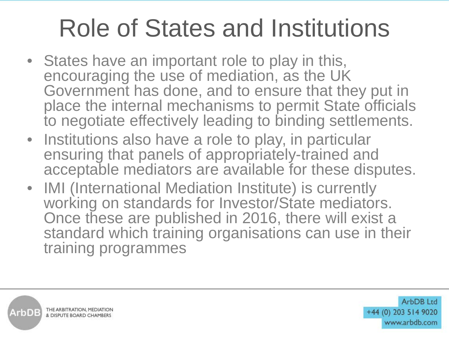#### Role of States and Institutions

- States have an important role to play in this, encouraging the use of mediation, as the UK Government has done, and to ensure that they put in place the internal mechanisms to permit State officials to negotiate effectively leading to binding settlements.
- Institutions also have a role to play, in particular ensuring that panels of appropriately-trained and acceptable mediators are available for these disputes.
- IMI (International Mediation Institute) is currently working on standards for Investor/State mediators. Once these are published in 2016, there will exist a standard which training organisations can use in their training programmes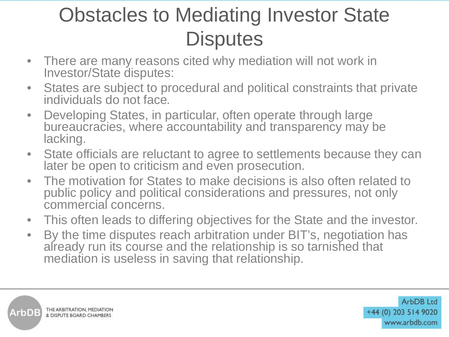#### Obstacles to Mediating Investor State **Disputes**

- There are many reasons cited why mediation will not work in Investor/State disputes:
- States are subject to procedural and political constraints that private individuals do not face*.*
- Developing States, in particular, often operate through large bureaucracies, where accountability and transparency may be lacking.
- State officials are reluctant to agree to settlements because they can later be open to criticism and even prosecution.
- The motivation for States to make decisions is also often related to public policy and political considerations and pressures, not only commercial concerns.
- This often leads to differing objectives for the State and the investor.
- By the time disputes reach arbitration under BIT's, negotiation has already run its course and the relationship is so tarnished that mediation is useless in saving that relationship.

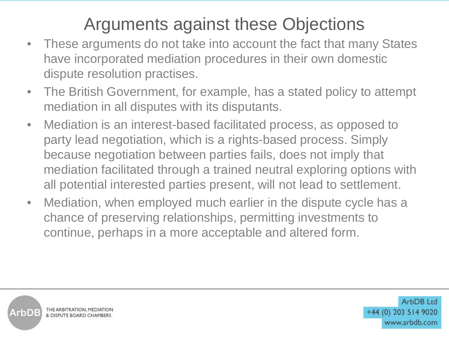#### Arguments against these Objections

- These arguments do not take into account the fact that many States have incorporated mediation procedures in their own domestic dispute resolution practises.
- The British Government, for example, has a stated policy to attempt mediation in all disputes with its disputants.
- Mediation is an interest-based facilitated process, as opposed to party lead negotiation, which is a rights-based process. Simply because negotiation between parties fails, does not imply that mediation facilitated through a trained neutral exploring options with all potential interested parties present, will not lead to settlement.
- Mediation, when employed much earlier in the dispute cycle has a chance of preserving relationships, permitting investments to continue, perhaps in a more acceptable and altered form.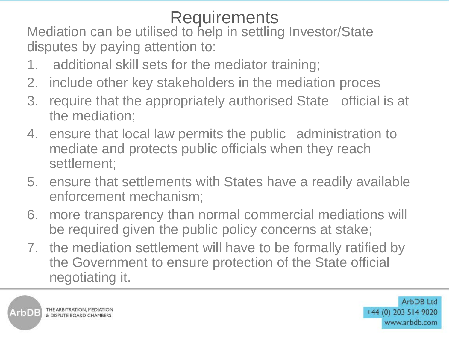Requirements<br>Mediation can be utilised to help in settling Investor/State disputes by paying attention to:

- 1. additional skill sets for the mediator training;
- 2. include other key stakeholders in the mediation proces
- 3. require that the appropriately authorised State official is at the mediation;
- 4. ensure that local law permits the public administration to mediate and protects public officials when they reach settlement;
- 5. ensure that settlements with States have a readily available enforcement mechanism;
- 6. more transparency than normal commercial mediations will be required given the public policy concerns at stake;
- 7. the mediation settlement will have to be formally ratified by the Government to ensure protection of the State official negotiating it.



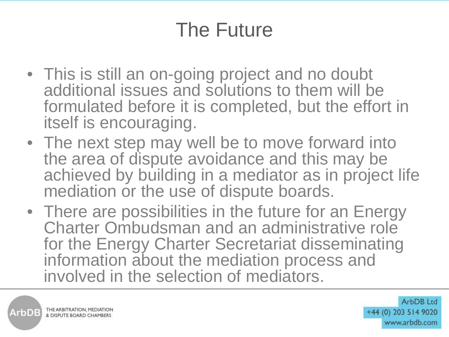#### The Future

- This is still an on-going project and no doubt additional issues and solutions to them will be formulated before it is completed, but the effort in itself is encouraging.
- The next step may well be to move forward into the area of dispute avoidance and this may be achieved by building in a mediator as in project life mediation or the use of dispute boards.
- There are possibilities in the future for an Energy Charter Ombudsman and an administrative role for the Energy Charter Secretariat disseminating information about the mediation process and involved in the selection of mediators.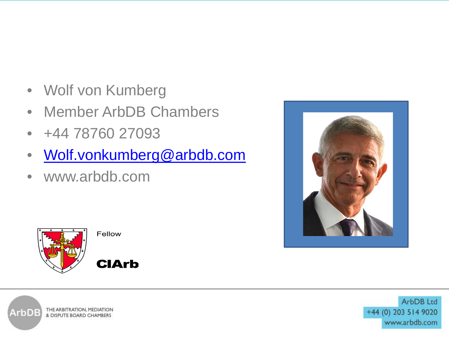- Wolf von Kumberg
- Member ArbDB Chambers
- +44 78760 27093
- [Wolf.vonkumberg@arbdb.com](mailto:Wolf.vonkumberg@arbdb.com)
- www.arbdb.com





Fellow

**CIArb**